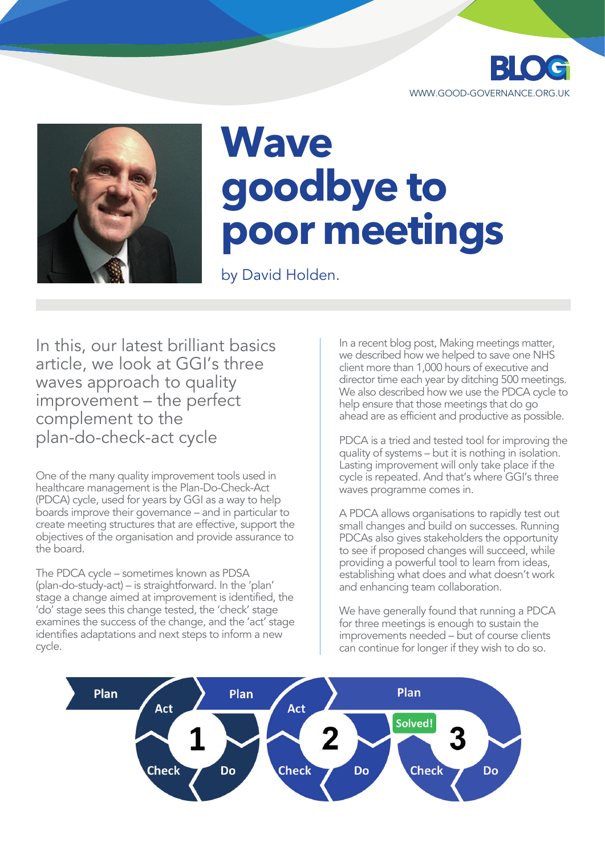



## **Wave goodbye to poor meetings**

by David Holden.

In this, our latest brilliant basics article, we look at GGI's three waves approach to quality improvement – the perfect complement to the plan-do-check-act cycle

One of the many quality improvement tools used in healthcare management is the Plan-Do-Check-Act (PDCA) cycle, used for years by GGI as a way to help boards improve their governance – and in particular to create meeting structures that are effective, support the objectives of the organisation and provide assurance to the board.

The PDCA cycle – sometimes known as PDSA (plan-do-study-act) – is straightforward. In the 'plan' stage a change aimed at improvement is identified, the 'do' stage sees this change tested, the 'check' stage examines the success of the change, and the 'act' stage identifies adaptations and next steps to inform a new cycle.

In a recent blog post, Making meetings matter, we described how we helped to save one NHS client more than 1,000 hours of executive and director time each year by ditching 500 meetings. We also described how we use the PDCA cycle to help ensure that those meetings that do go ahead are as efficient and productive as possible.

PDCA is a tried and tested tool for improving the quality of systems – but it is nothing in isolation. Lasting improvement will only take place if the cycle is repeated. And that's where GGI's three waves programme comes in.

A PDCA allows organisations to rapidly test out small changes and build on successes. Running PDCAs also gives stakeholders the opportunity to see if proposed changes will succeed, while providing a powerful tool to learn from ideas, establishing what does and what doesn't work and enhancing team collaboration.

We have generally found that running a PDCA for three meetings is enough to sustain the improvements needed – but of course clients can continue for longer if they wish to do so.